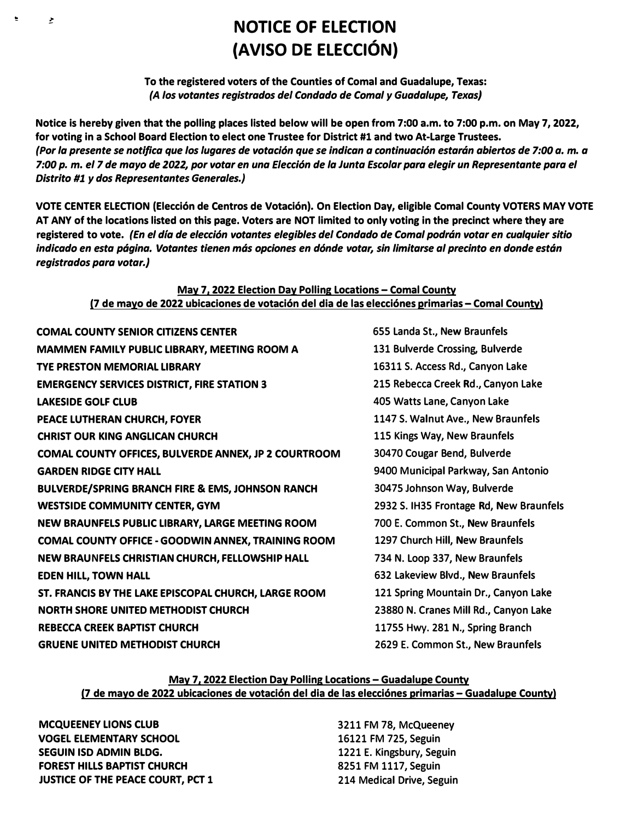# **NOTICE OF ELECTION (AVISO DE ELECCION)**

# **To the registered voters of the Counties of Comal and Guadalupe, Texas:**  *(A las votantes registrados de/ Condado de Comal y Guadalupe, Texas)*

**Notice is hereby given that the polling places listed below will be open from 7:00 a.m. to 7:00 p.m. on May 7, 2022, for voting in a School Board Election to elect one Trustee for District #1 and two At-Large Trustees.**  *(Par la presente se notifica que las /ugares de votaci6n que se indican a continuaci6n estarcin abiertos de 7:00 a.* **m.** *a 7:00 p.* **m.** *el 7 de mayo de* **2022,** *par votar en una E/ecci6n de la Junta Esco/or para elegir un Representante para el*  **Distrito #1 y dos Representantes Generales.)** 

**VOTE CENTER ELECTION (Elecci6n de Centros de Votaci6n). On Election Day, eligible Comal County VOTERS MAY VOTE AT ANY of the locations listed on this page. Voters are NOT limited to only voting in the precinct where they are registered to vote.** *(En el dfa de elecci6n votantes elegibles de/ Condado de Comal podrcin votar en cualquier sitio*  indicado en esta página. Votantes tienen más opciones en dónde votar, sin limitarse al precinto en donde están *registrados para votar.J* 

## **May 7. 2022 Election Day Polling Locations -Comal County (7 de mayo de 2022 ubicaciones de votaci6n del dia de las elecci6nes primarias - Comal County)**

| <b>COMAL COUNTY SENIOR CITIZENS CENTER</b>                  |
|-------------------------------------------------------------|
| <b>MAMMEN FAMILY PUBLIC LIBRARY, MEETING ROOM A</b>         |
| <b>TYE PRESTON MEMORIAL LIBRARY</b>                         |
| <b>EMERGENCY SERVICES DISTRICT, FIRE STATION 3</b>          |
| <b>LAKESIDE GOLF CLUB</b>                                   |
| PEACE LUTHERAN CHURCH, FOYER                                |
| <b>CHRIST OUR KING ANGLICAN CHURCH</b>                      |
| COMAL COUNTY OFFICES, BULVERDE ANNEX, JP 2 COURTROOM        |
| <b>GARDEN RIDGE CITY HALL</b>                               |
| <b>BULVERDE/SPRING BRANCH FIRE &amp; EMS, JOHNSON RANCH</b> |
| <b>WESTSIDE COMMUNITY CENTER, GYM</b>                       |
| NEW BRAUNFELS PUBLIC LIBRARY, LARGE MEETING ROOM            |
| <b>COMAL COUNTY OFFICE - GOODWIN ANNEX, TRAINING ROOM</b>   |
| NEW BRAUNFELS CHRISTIAN CHURCH, FELLOWSHIP HALL             |
| <b>EDEN HILL, TOWN HALL</b>                                 |
| ST. FRANCIS BY THE LAKE EPISCOPAL CHURCH, LARGE ROOM        |
| <b>NORTH SHORE UNITED METHODIST CHURCH</b>                  |
| <b>REBECCA CREEK BAPTIST CHURCH</b>                         |
| <b>GRUENE UNITED METHODIST CHURCH</b>                       |

**655 Landa St., New Braunfels 131 Bulverde Crossing, Bulverde 16311 S. Access Rd., Canyon Lake 215 Rebecca Creek Rd., Canyon Lake 405 Watts Lane, Canyon Lake 1147 S. Walnut Ave., New Braunfels 115 Kings Way, New Braunfels 30470 Cougar Bend, Bulverde 9400 Municipal Parkway, San Antonio BULFIDE/SPACE FIRE EMSTER 2932 S. IH35 Frontage Rd, New Braunfels 700 E. Common St., New Braunfels 1297 Church Hill, New Braunfels 734 N. Loop 337, New Braunfels 632 Lakeview Blvd., New Braunfels 121 Spring Mountain Dr., Canyon Lake 23880 N. Cranes Mill Rd., Canyon Lake 11755 Hwy. 281 N., Spring Branch 2629 E. Common St., New Braunfels** 

## **May 7. 2022 Election Day Polling Locations-Guadalupe County (7 de mayo de 2022 ubicaciones de votaci6n del dia de las elecci6nes primarias -Guadalupe County)**

**MCQUEENEY LIONS CLUB VOGEL ELEMENTARY SCHOOL SEGUIN ISO ADMIN BLDG. FOREST HILLS BAPTIST CHURCH JUSTICE OF THE PEACE COURT, PCT 1** 

÷

 $\overline{z}$ 

**3211 FM 78, McQueeney 16121 FM 725, Seguin 1221 E. Kingsbury, Seguin 8251 FM 1117, Seguin 214 Medical Drive, Seguin**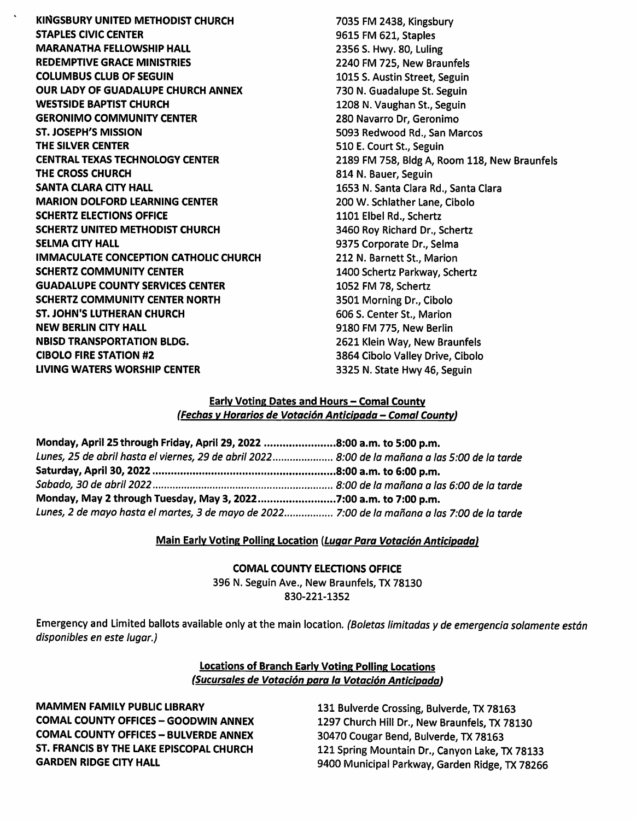KINGSBURY UNITED METHODIST CHURCH **STAPLES CIVIC CENTER MARANATHA FELLOWSHIP HALL REDEMPTIVE GRACE MINISTRIES COLUMBUS CLUB OF SEGUIN OUR LADY OF GUADALUPE CHURCH ANNEX WESTSIDE BAPTIST CHURCH GERONIMO COMMUNITY CENTER ST. JOSEPH'S MISSION** THE SILVER CENTER **CENTRAL TEXAS TECHNOLOGY CENTER** THE CROSS CHURCH **SANTA CLARA CITY HALL MARION DOLFORD LEARNING CENTER SCHERTZ ELECTIONS OFFICE SCHERTZ UNITED METHODIST CHURCH SELMA CITY HALL IMMACULATE CONCEPTION CATHOLIC CHURCH SCHERTZ COMMUNITY CENTER GUADALUPE COUNTY SERVICES CENTER SCHERTZ COMMUNITY CENTER NORTH ST. JOHN'S LUTHERAN CHURCH NEW BERLIN CITY HALL NBISD TRANSPORTATION BLDG. CIBOLO FIRE STATION #2 LIVING WATERS WORSHIP CENTER** 

7035 FM 2438, Kingsbury 9615 FM 621. Staples 2356 S. Hwy. 80, Luling 2240 FM 725. New Braunfels 1015 S. Austin Street, Seguin 730 N. Guadalupe St. Seguin 1208 N. Vaughan St., Seguin 280 Navarro Dr, Geronimo 5093 Redwood Rd., San Marcos 510 E. Court St., Seguin 2189 FM 758, Bldg A, Room 118, New Braunfels 814 N. Bauer, Seguin 1653 N. Santa Clara Rd., Santa Clara 200 W. Schlather Lane, Cibolo 1101 Elbel Rd., Schertz 3460 Roy Richard Dr., Schertz 9375 Corporate Dr., Selma 212 N. Barnett St., Marion 1400 Schertz Parkway, Schertz 1052 FM 78. Schertz 3501 Morning Dr., Cibolo 606 S. Center St., Marion 9180 FM 775. New Berlin 2621 Klein Way, New Braunfels 3864 Cibolo Valley Drive, Cibolo 3325 N. State Hwy 46, Seguin

#### **Early Voting Dates and Hours - Comal County** (Fechas y Horarios de Votación Anticipada - Comal County)

| Monday, April 25 through Friday, April 29, 2022 8:00 a.m. to 5:00 p.m.                         |  |
|------------------------------------------------------------------------------------------------|--|
| Lunes, 25 de abril hasta el viernes, 29 de abril 2022 8:00 de la mañana a las 5:00 de la tarde |  |
|                                                                                                |  |
|                                                                                                |  |
| Monday, May 2 through Tuesday, May 3, 20227:00 a.m. to 7:00 p.m.                               |  |
| Lunes, 2 de mayo hasta el martes, 3 de mayo de 2022 7:00 de la mañana a las 7:00 de la tarde   |  |

## Main Early Voting Polling Location (Lugar Para Votación Anticipada)

**COMAL COUNTY ELECTIONS OFFICE** 

396 N. Seguin Ave., New Braunfels, TX 78130 830-221-1352

Emergency and Limited ballots available only at the main location. (Boletas limitadas y de emergencia solamente están disponibles en este lugar.)

> **Locations of Branch Early Voting Polling Locations** (Sucursales de Votación para la Votación Anticipada)

**MAMMEN FAMILY PUBLIC LIBRARY COMAL COUNTY OFFICES - GOODWIN ANNEX COMAL COUNTY OFFICES - BULVERDE ANNEX** ST. FRANCIS BY THE LAKE EPISCOPAL CHURCH **GARDEN RIDGE CITY HALL** 

131 Bulverde Crossing, Bulverde, TX 78163 1297 Church Hill Dr., New Braunfels, TX 78130 30470 Cougar Bend, Bulverde, TX 78163 121 Spring Mountain Dr., Canyon Lake, TX 78133 9400 Municipal Parkway, Garden Ridge, TX 78266